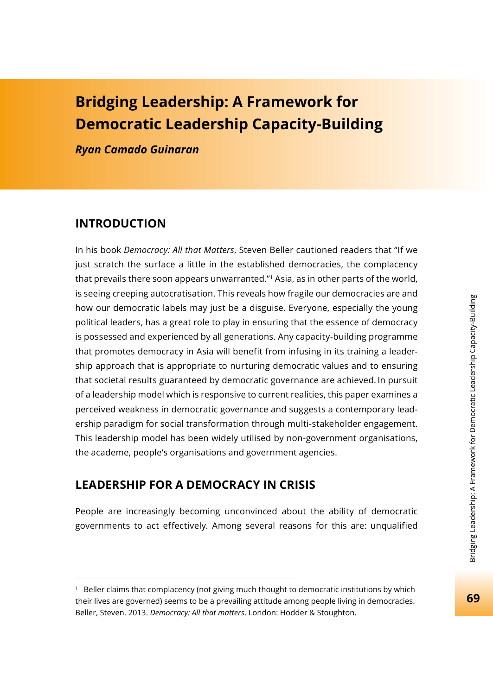# **Bridging Leadership: A Framework for Democratic Leadership Capacity-Building**

*Ryan Camado Guinaran*

# **INTRODUCTION**

In his book *Democracy: All that Matters*, Steven Beller cautioned readers that "If we just scratch the surface a little in the established democracies, the complacency that prevails there soon appears unwarranted."1 Asia, as in other parts of the world, is seeing creeping autocratisation. This reveals how fragile our democracies are and how our democratic labels may just be a disguise. Everyone, especially the young political leaders, has a great role to play in ensuring that the essence of democracy is possessed and experienced by all generations. Any capacity-building programme that promotes democracy in Asia will benefit from infusing in its training a leadership approach that is appropriate to nurturing democratic values and to ensuring that societal results guaranteed by democratic governance are achieved. In pursuit of a leadership model which is responsive to current realities, this paper examines a perceived weakness in democratic governance and suggests a contemporary leadership paradigm for social transformation through multi-stakeholder engagement. This leadership model has been widely utilised by non-government organisations, the academe, people's organisations and government agencies.

# **LEADERSHIP FOR A DEMOCRACY IN CRISIS**

People are increasingly becoming unconvinced about the ability of democratic governments to act effectively. Among several reasons for this are: unqualified

<sup>1</sup> Beller claims that complacency (not giving much thought to democratic institutions by which their lives are governed) seems to be a prevailing attitude among people living in democracies. Beller, Steven. 2013. *Democracy: All that matters*. London: Hodder & Stoughton.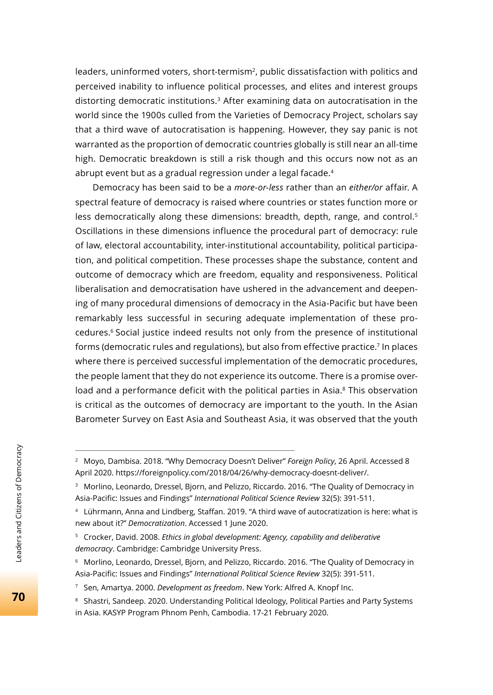leaders, uninformed voters, short-termism<sup>2</sup>, public dissatisfaction with politics and perceived inability to influence political processes, and elites and interest groups distorting democratic institutions.3 After examining data on autocratisation in the world since the 1900s culled from the Varieties of Democracy Project, scholars say that a third wave of autocratisation is happening. However, they say panic is not warranted as the proportion of democratic countries globally is still near an all-time high. Democratic breakdown is still a risk though and this occurs now not as an abrupt event but as a gradual regression under a legal facade.<sup>4</sup>

Democracy has been said to be a *more-or-less* rather than an *either/or* affair. A spectral feature of democracy is raised where countries or states function more or less democratically along these dimensions: breadth, depth, range, and control.<sup>5</sup> Oscillations in these dimensions influence the procedural part of democracy: rule of law, electoral accountability, inter-institutional accountability, political participation, and political competition. These processes shape the substance, content and outcome of democracy which are freedom, equality and responsiveness. Political liberalisation and democratisation have ushered in the advancement and deepening of many procedural dimensions of democracy in the Asia-Pacific but have been remarkably less successful in securing adequate implementation of these procedures.6 Social justice indeed results not only from the presence of institutional forms (democratic rules and regulations), but also from effective practice.<sup>7</sup> In places where there is perceived successful implementation of the democratic procedures, the people lament that they do not experience its outcome. There is a promise overload and a performance deficit with the political parties in Asia.<sup>8</sup> This observation is critical as the outcomes of democracy are important to the youth. In the Asian Barometer Survey on East Asia and Southeast Asia, it was observed that the youth

<sup>2</sup> Moyo, Dambisa. 2018. "Why Democracy Doesn't Deliver" *Foreign Policy*, 26 April. Accessed 8 April 2020. https://foreignpolicy.com/2018/04/26/why-democracy-doesnt-deliver/.

<sup>&</sup>lt;sup>3</sup> Morlino, Leonardo, Dressel, Bjorn, and Pelizzo, Riccardo. 2016. "The Quality of Democracy in Asia-Pacific: Issues and Findings" *International Political Science Review* 32(5): 391-511.

<sup>&</sup>lt;sup>4</sup> Lührmann, Anna and Lindberg, Staffan. 2019. "A third wave of autocratization is here: what is new about it?" *Democratization*. Accessed 1 June 2020.

<sup>5</sup> Crocker, David. 2008. *Ethics in global development: Agency, capability and deliberative democracy*. Cambridge: Cambridge University Press.

<sup>&</sup>lt;sup>6</sup> Morlino, Leonardo, Dressel, Bjorn, and Pelizzo, Riccardo. 2016. "The Quality of Democracy in Asia-Pacific: Issues and Findings" International Political Science Review 32(5): 391-511.

<sup>7</sup> Sen, Amartya. 2000. *Development as freedom*. New York: Alfred A. Knopf Inc.

<sup>&</sup>lt;sup>8</sup> Shastri, Sandeep. 2020. Understanding Political Ideology, Political Parties and Party Systems in Asia. KASYP Program Phnom Penh, Cambodia. 17-21 February 2020.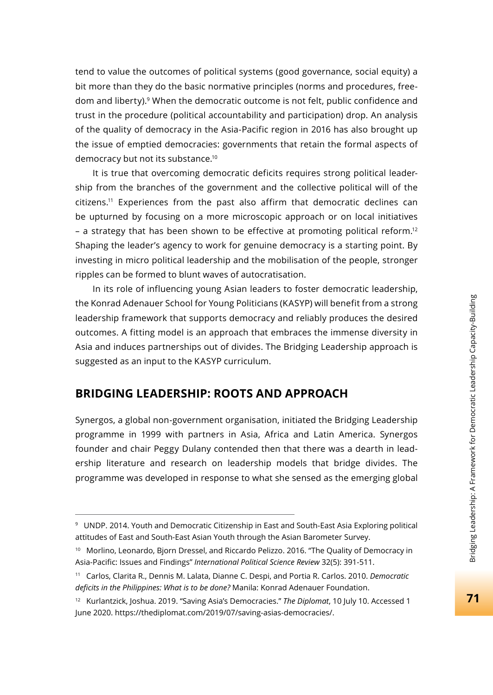tend to value the outcomes of political systems (good governance, social equity) a bit more than they do the basic normative principles (norms and procedures, freedom and liberty).<sup>9</sup> When the democratic outcome is not felt, public confidence and trust in the procedure (political accountability and participation) drop. An analysis of the quality of democracy in the Asia-Pacific region in 2016 has also brought up the issue of emptied democracies: governments that retain the formal aspects of democracy but not its substance.10

It is true that overcoming democratic deficits requires strong political leadership from the branches of the government and the collective political will of the citizens.11 Experiences from the past also affirm that democratic declines can be upturned by focusing on a more microscopic approach or on local initiatives – a strategy that has been shown to be effective at promoting political reform.<sup>12</sup> Shaping the leader's agency to work for genuine democracy is a starting point. By investing in micro political leadership and the mobilisation of the people, stronger ripples can be formed to blunt waves of autocratisation.

In its role of influencing young Asian leaders to foster democratic leadership, the Konrad Adenauer School for Young Politicians (KASYP) will benefit from a strong leadership framework that supports democracy and reliably produces the desired outcomes. A fitting model is an approach that embraces the immense diversity in Asia and induces partnerships out of divides. The Bridging Leadership approach is suggested as an input to the KASYP curriculum.

# **BRIDGING LEADERSHIP: ROOTS AND APPROACH**

Synergos, a global non-government organisation, initiated the Bridging Leadership programme in 1999 with partners in Asia, Africa and Latin America. Synergos founder and chair Peggy Dulany contended then that there was a dearth in leadership literature and research on leadership models that bridge divides. The programme was developed in response to what she sensed as the emerging global

<sup>9</sup> UNDP. 2014. Youth and Democratic Citizenship in East and South-East Asia Exploring political attitudes of East and South-East Asian Youth through the Asian Barometer Survey.

<sup>&</sup>lt;sup>10</sup> Morlino, Leonardo, Bjorn Dressel, and Riccardo Pelizzo. 2016. "The Quality of Democracy in Asia-Pacific: Issues and Findings" *International Political Science Review* 32(5): 391-511.

<sup>11</sup> Carlos, Clarita R., Dennis M. Lalata, Dianne C. Despi, and Portia R. Carlos. 2010. *Democratic defi cits in the Philippines: What is to be done?* Manila: Konrad Adenauer Foundation.

<sup>12</sup> Kurlantzick, Joshua. 2019. "Saving Asia's Democracies." *The Diplomat*, 10 July 10. Accessed 1 June 2020. https://thediplomat.com/2019/07/saving-asias-democracies/.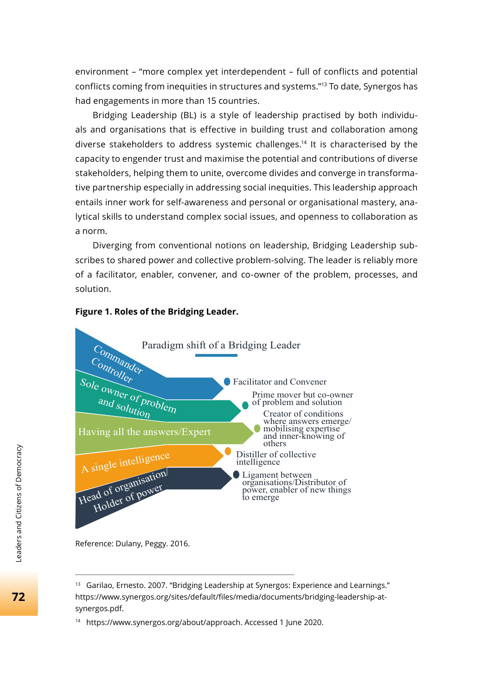environment – "more complex yet interdependent – full of conflicts and potential conflicts coming from inequities in structures and systems."13 To date, Synergos has had engagements in more than 15 countries.

Bridging Leadership (BL) is a style of leadership practised by both individuals and organisations that is effective in building trust and collaboration among diverse stakeholders to address systemic challenges.14 It is characterised by the capacity to engender trust and maximise the potential and contributions of diverse stakeholders, helping them to unite, overcome divides and converge in transformative partnership especially in addressing social inequities. This leadership approach entails inner work for self-awareness and personal or organisational mastery, analytical skills to understand complex social issues, and openness to collaboration as a norm.

Diverging from conventional notions on leadership, Bridging Leadership subscribes to shared power and collective problem-solving. The leader is reliably more of a facilitator, enabler, convener, and co-owner of the problem, processes, and solution.



### **Figure 1. Roles of the Bridging Leader.**

Reference: Dulany, Peggy. 2016.

<sup>&</sup>lt;sup>13</sup> Garilao, Ernesto. 2007. "Bridging Leadership at Synergos: Experience and Learnings." https://www.synergos.org/sites/default/fi les/media/documents/bridging-leadership-atsynergos.pdf.

<sup>14</sup> https://www.synergos.org/about/approach. Accessed 1 June 2020.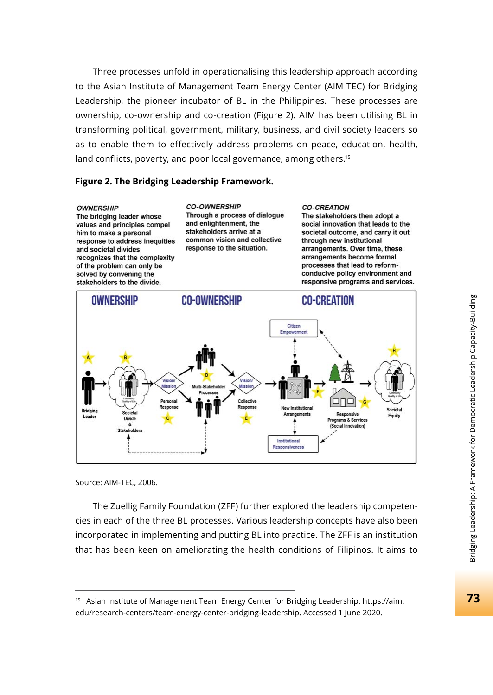Three processes unfold in operationalising this leadership approach according to the Asian Institute of Management Team Energy Center (AIM TEC) for Bridging Leadership, the pioneer incubator of BL in the Philippines. These processes are ownership, co-ownership and co-creation (Figure 2). AIM has been utilising BL in transforming political, government, military, business, and civil society leaders so as to enable them to effectively address problems on peace, education, health, land conflicts, poverty, and poor local governance, among others.<sup>15</sup>

#### **Figure 2. The Bridging Leadership Framework.**

#### **OWNERSHIP**

The bridging leader whose values and principles compel him to make a personal response to address inequities and societal divides recognizes that the complexity of the problem can only be solved by convening the stakeholders to the divide.

**CO-OWNERSHIP** Through a process of dialogue and enlightenment, the stakeholders arrive at a common vision and collective response to the situation.

#### **CO-CREATION**

The stakeholders then adopt a social innovation that leads to the societal outcome, and carry it out through new institutional arrangements. Over time, these arrangements become formal processes that lead to reformconducive policy environment and responsive programs and services.



Source: AIM-TEC, 2006.

The Zuellig Family Foundation (ZFF) further explored the leadership competencies in each of the three BL processes. Various leadership concepts have also been incorporated in implementing and putting BL into practice. The ZFF is an institution that has been keen on ameliorating the health conditions of Filipinos. It aims to

<sup>15</sup> Asian Institute of Management Team Energy Center for Bridging Leadership. https://aim. edu/research-centers/team-energy-center-bridging-leadership. Accessed 1 June 2020.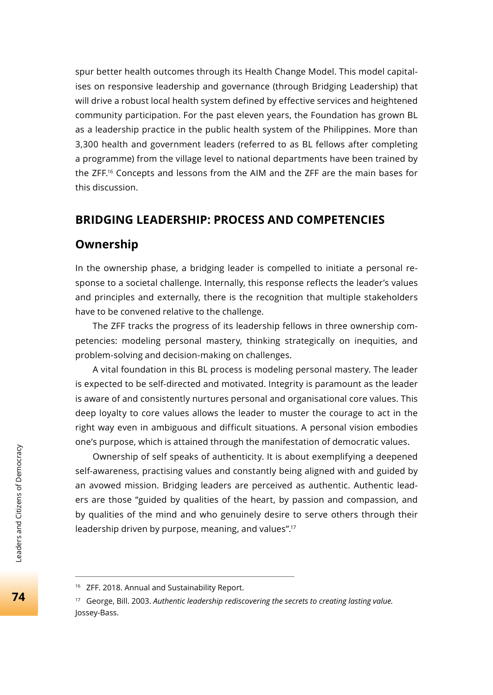spur better health outcomes through its Health Change Model. This model capitalises on responsive leadership and governance (through Bridging Leadership) that will drive a robust local health system defined by effective services and heightened community participation. For the past eleven years, the Foundation has grown BL as a leadership practice in the public health system of the Philippines. More than 3,300 health and government leaders (referred to as BL fellows after completing a programme) from the village level to national departments have been trained by the ZFF.16 Concepts and lessons from the AIM and the ZFF are the main bases for this discussion.

# **BRIDGING LEADERSHIP: PROCESS AND COMPETENCIES**

### **Ownership**

In the ownership phase, a bridging leader is compelled to initiate a personal response to a societal challenge. Internally, this response reflects the leader's values and principles and externally, there is the recognition that multiple stakeholders have to be convened relative to the challenge.

The ZFF tracks the progress of its leadership fellows in three ownership competencies: modeling personal mastery, thinking strategically on inequities, and problem-solving and decision-making on challenges.

A vital foundation in this BL process is modeling personal mastery. The leader is expected to be self-directed and motivated. Integrity is paramount as the leader is aware of and consistently nurtures personal and organisational core values. This deep loyalty to core values allows the leader to muster the courage to act in the right way even in ambiguous and difficult situations. A personal vision embodies one's purpose, which is attained through the manifestation of democratic values.

Ownership of self speaks of authenticity. It is about exemplifying a deepened self-awareness, practising values and constantly being aligned with and guided by an avowed mission. Bridging leaders are perceived as authentic. Authentic leaders are those "guided by qualities of the heart, by passion and compassion, and by qualities of the mind and who genuinely desire to serve others through their leadership driven by purpose, meaning, and values".17

<sup>&</sup>lt;sup>16</sup> ZFF. 2018. Annual and Sustainability Report.

<sup>17</sup> George, Bill. 2003. *Authentic leadership rediscovering the secrets to creating lasting value.*  Jossey-Bass.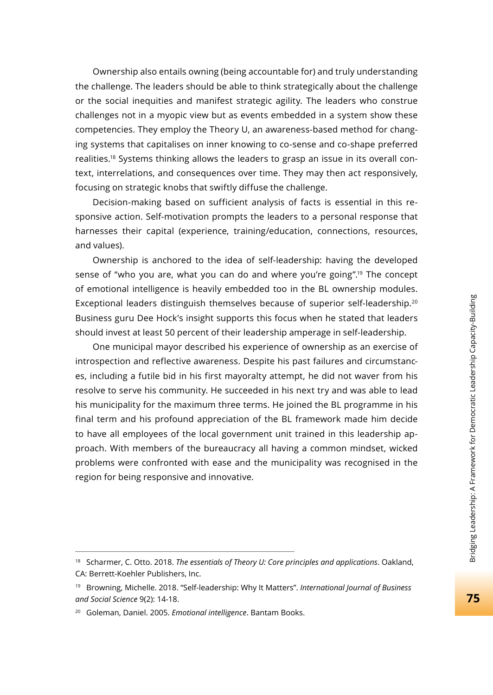Ownership also entails owning (being accountable for) and truly understanding the challenge. The leaders should be able to think strategically about the challenge or the social inequities and manifest strategic agility. The leaders who construe challenges not in a myopic view but as events embedded in a system show these competencies. They employ the Theory U, an awareness-based method for changing systems that capitalises on inner knowing to co-sense and co-shape preferred realities.18 Systems thinking allows the leaders to grasp an issue in its overall context, interrelations, and consequences over time. They may then act responsively, focusing on strategic knobs that swiftly diffuse the challenge.

Decision-making based on sufficient analysis of facts is essential in this responsive action. Self-motivation prompts the leaders to a personal response that harnesses their capital (experience, training/education, connections, resources, and values).

Ownership is anchored to the idea of self-leadership: having the developed sense of "who you are, what you can do and where you're going".19 The concept of emotional intelligence is heavily embedded too in the BL ownership modules. Exceptional leaders distinguish themselves because of superior self-leadership.<sup>20</sup> Business guru Dee Hock's insight supports this focus when he stated that leaders should invest at least 50 percent of their leadership amperage in self-leadership.

One municipal mayor described his experience of ownership as an exercise of introspection and reflective awareness. Despite his past failures and circumstances, including a futile bid in his first mayoralty attempt, he did not waver from his resolve to serve his community. He succeeded in his next try and was able to lead his municipality for the maximum three terms. He joined the BL programme in his final term and his profound appreciation of the BL framework made him decide to have all employees of the local government unit trained in this leadership approach. With members of the bureaucracy all having a common mindset, wicked problems were confronted with ease and the municipality was recognised in the region for being responsive and innovative.

<sup>18</sup> Scharmer, C. Otto. 2018. *The essentials of Theory U: Core principles and applications*. Oakland, CA: Berrett-Koehler Publishers, Inc.

<sup>19</sup> Browning, Michelle. 2018. "Self-leadership: Why It Matters". *International Journal of Business and Social Science* 9(2): 14-18.

<sup>20</sup> Goleman, Daniel. 2005. *Emotional intelligence*. Bantam Books.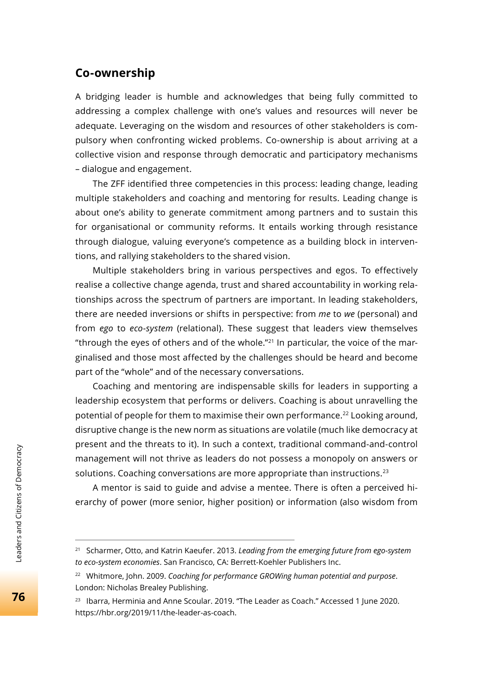# **Co-ownership**

A bridging leader is humble and acknowledges that being fully committed to addressing a complex challenge with one's values and resources will never be adequate. Leveraging on the wisdom and resources of other stakeholders is compulsory when confronting wicked problems. Co-ownership is about arriving at a collective vision and response through democratic and participatory mechanisms – dialogue and engagement.

The ZFF identified three competencies in this process: leading change, leading multiple stakeholders and coaching and mentoring for results. Leading change is about one's ability to generate commitment among partners and to sustain this for organisational or community reforms. It entails working through resistance through dialogue, valuing everyone's competence as a building block in interventions, and rallying stakeholders to the shared vision.

Multiple stakeholders bring in various perspectives and egos. To effectively realise a collective change agenda, trust and shared accountability in working relationships across the spectrum of partners are important. In leading stakeholders, there are needed inversions or shifts in perspective: from *me* to *we* (personal) and from *ego* to *eco-system* (relational). These suggest that leaders view themselves "through the eyes of others and of the whole."21 In particular, the voice of the marginalised and those most affected by the challenges should be heard and become part of the "whole" and of the necessary conversations.

Coaching and mentoring are indispensable skills for leaders in supporting a leadership ecosystem that performs or delivers. Coaching is about unravelling the potential of people for them to maximise their own performance.22 Looking around, disruptive change is the new norm as situations are volatile (much like democracy at present and the threats to it). In such a context, traditional command-and-control management will not thrive as leaders do not possess a monopoly on answers or solutions. Coaching conversations are more appropriate than instructions.<sup>23</sup>

A mentor is said to guide and advise a mentee. There is often a perceived hierarchy of power (more senior, higher position) or information (also wisdom from

<sup>21</sup> Scharmer, Otto, and Katrin Kaeufer. 2013. *Leading from the emerging future from ego-system to eco-system economies*. San Francisco, CA: Berrett-Koehler Publishers Inc.

<sup>22</sup> Whitmore, John. 2009. *Coaching for performance GROWing human potential and purpose*. London: Nicholas Brealey Publishing.

<sup>&</sup>lt;sup>23</sup> Ibarra, Herminia and Anne Scoular. 2019. "The Leader as Coach." Accessed 1 June 2020. https://hbr.org/2019/11/the-leader-as-coach.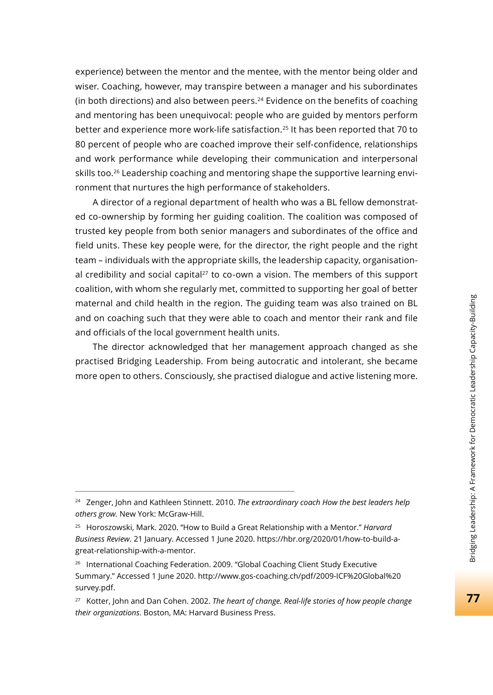experience) between the mentor and the mentee, with the mentor being older and wiser. Coaching, however, may transpire between a manager and his subordinates (in both directions) and also between peers. $24$  Evidence on the benefits of coaching and mentoring has been unequivocal: people who are guided by mentors perform better and experience more work-life satisfaction.<sup>25</sup> It has been reported that 70 to 80 percent of people who are coached improve their self-confidence, relationships and work performance while developing their communication and interpersonal skills too.<sup>26</sup> Leadership coaching and mentoring shape the supportive learning environment that nurtures the high performance of stakeholders.

A director of a regional department of health who was a BL fellow demonstrated co-ownership by forming her guiding coalition. The coalition was composed of trusted key people from both senior managers and subordinates of the office and field units. These key people were, for the director, the right people and the right team – individuals with the appropriate skills, the leadership capacity, organisational credibility and social capital $27$  to co-own a vision. The members of this support coalition, with whom she regularly met, committed to supporting her goal of better maternal and child health in the region. The guiding team was also trained on BL and on coaching such that they were able to coach and mentor their rank and file and officials of the local government health units.

The director acknowledged that her management approach changed as she practised Bridging Leadership. From being autocratic and intolerant, she became more open to others. Consciously, she practised dialogue and active listening more.

<sup>24</sup> Zenger, John and Kathleen Stinnett. 2010. *The extraordinary coach How the best leaders help others grow.* New York: McGraw-Hill.

<sup>25</sup> Horoszowski, Mark. 2020. "How to Build a Great Relationship with a Mentor." *Harvard Business Review*. 21 January. Accessed 1 June 2020. https://hbr.org/2020/01/how-to-build-agreat-relationship-with-a-mentor.

<sup>26</sup> International Coaching Federation. 2009. "Global Coaching Client Study Executive Summary." Accessed 1 June 2020. http://www.gos-coaching.ch/pdf/2009-ICF%20Global%20 survey.pdf.

<sup>27</sup> Kotter, John and Dan Cohen. 2002. *The heart of change. Real-life stories of how people change their organizations*. Boston, MA: Harvard Business Press.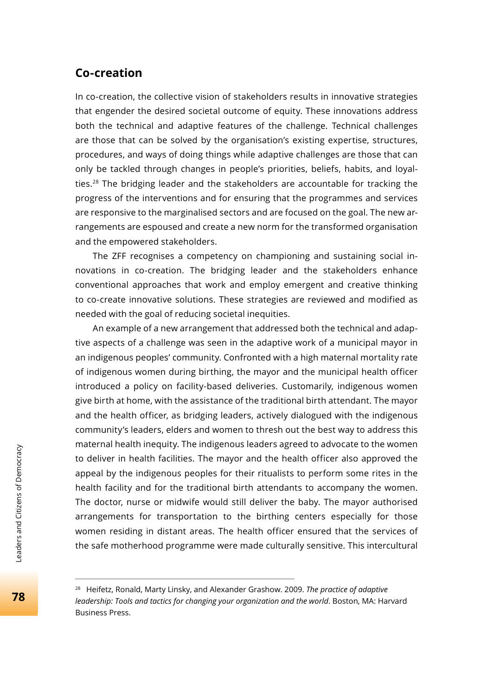### **Co-creation**

In co-creation, the collective vision of stakeholders results in innovative strategies that engender the desired societal outcome of equity. These innovations address both the technical and adaptive features of the challenge. Technical challenges are those that can be solved by the organisation's existing expertise, structures, procedures, and ways of doing things while adaptive challenges are those that can only be tackled through changes in people's priorities, beliefs, habits, and loyalties.<sup>28</sup> The bridging leader and the stakeholders are accountable for tracking the progress of the interventions and for ensuring that the programmes and services are responsive to the marginalised sectors and are focused on the goal. The new arrangements are espoused and create a new norm for the transformed organisation and the empowered stakeholders.

The ZFF recognises a competency on championing and sustaining social innovations in co-creation. The bridging leader and the stakeholders enhance conventional approaches that work and employ emergent and creative thinking to co-create innovative solutions. These strategies are reviewed and modified as needed with the goal of reducing societal inequities.

An example of a new arrangement that addressed both the technical and adaptive aspects of a challenge was seen in the adaptive work of a municipal mayor in an indigenous peoples' community. Confronted with a high maternal mortality rate of indigenous women during birthing, the mayor and the municipal health officer introduced a policy on facility-based deliveries. Customarily, indigenous women give birth at home, with the assistance of the traditional birth attendant. The mayor and the health officer, as bridging leaders, actively dialogued with the indigenous community's leaders, elders and women to thresh out the best way to address this maternal health inequity. The indigenous leaders agreed to advocate to the women to deliver in health facilities. The mayor and the health officer also approved the appeal by the indigenous peoples for their ritualists to perform some rites in the health facility and for the traditional birth attendants to accompany the women. The doctor, nurse or midwife would still deliver the baby. The mayor authorised arrangements for transportation to the birthing centers especially for those women residing in distant areas. The health officer ensured that the services of the safe motherhood programme were made culturally sensitive. This intercultural

<sup>28</sup> Heifetz, Ronald, Marty Linsky, and Alexander Grashow. 2009. *The practice of adaptive leadership: Tools and tactics for changing your organization and the world*. Boston, MA: Harvard Business Press.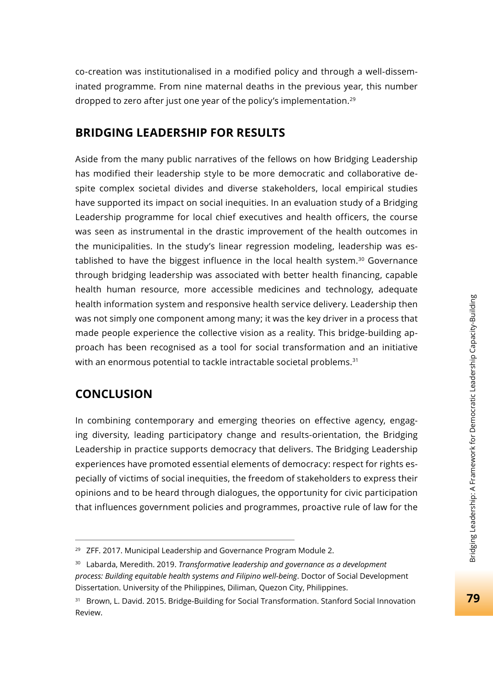co-creation was institutionalised in a modified policy and through a well-disseminated programme. From nine maternal deaths in the previous year, this number dropped to zero after just one year of the policy's implementation.29

# **BRIDGING LEADERSHIP FOR RESULTS**

Aside from the many public narratives of the fellows on how Bridging Leadership has modified their leadership style to be more democratic and collaborative despite complex societal divides and diverse stakeholders, local empirical studies have supported its impact on social inequities. In an evaluation study of a Bridging Leadership programme for local chief executives and health officers, the course was seen as instrumental in the drastic improvement of the health outcomes in the municipalities. In the study's linear regression modeling, leadership was established to have the biggest influence in the local health system.<sup>30</sup> Governance through bridging leadership was associated with better health financing, capable health human resource, more accessible medicines and technology, adequate health information system and responsive health service delivery. Leadership then was not simply one component among many; it was the key driver in a process that made people experience the collective vision as a reality. This bridge-building approach has been recognised as a tool for social transformation and an initiative with an enormous potential to tackle intractable societal problems.<sup>31</sup>

# **CONCLUSION**

In combining contemporary and emerging theories on effective agency, engaging diversity, leading participatory change and results-orientation, the Bridging Leadership in practice supports democracy that delivers. The Bridging Leadership experiences have promoted essential elements of democracy: respect for rights especially of victims of social inequities, the freedom of stakeholders to express their opinions and to be heard through dialogues, the opportunity for civic participation that influences government policies and programmes, proactive rule of law for the

<sup>&</sup>lt;sup>29</sup> ZFF. 2017. Municipal Leadership and Governance Program Module 2.

<sup>30</sup> Labarda, Meredith. 2019. *Transformative leadership and governance as a development process: Building equitable health systems and Filipino well-being*. Doctor of Social Development Dissertation. University of the Philippines, Diliman, Quezon City, Philippines.

<sup>&</sup>lt;sup>31</sup> Brown, L. David. 2015. Bridge-Building for Social Transformation. Stanford Social Innovation Review.